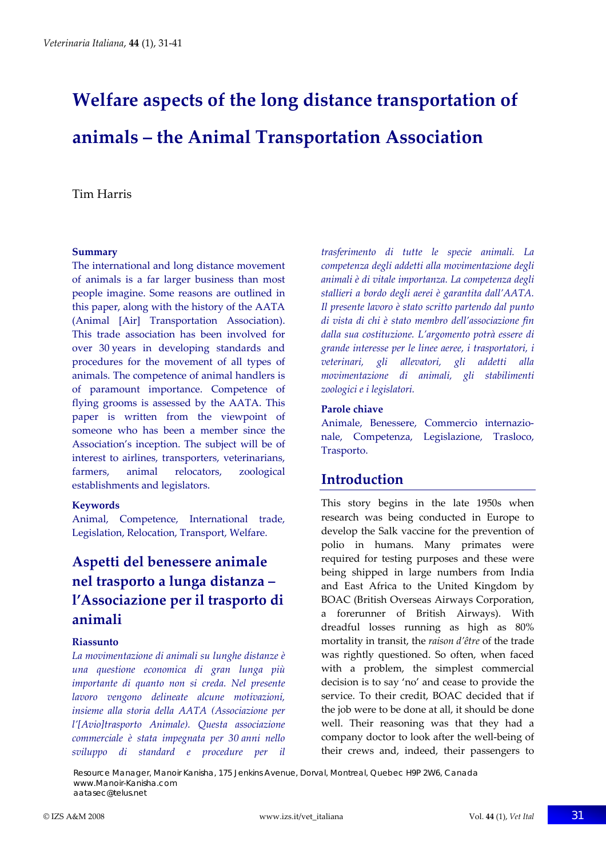# **Welfare aspects of the long distance transportation of animals – the Animal Transportation Association**

#### Tim Harris

#### **Summary**

The international and long distance movement of animals is a far larger business than most people imagine. Some reasons are outlined in this paper, along with the history of the AATA (Animal [Air] Transportation Association). This trade association has been involved for over 30 years in developing standards and procedures for the movement of all types of animals. The competence of animal handlers is of paramount importance. Competence of flying grooms is assessed by the AATA. This paper is written from the viewpoint of someone who has been a member since the Association's inception. The subject will be of interest to airlines, transporters, veterinarians, farmers, animal relocators, zoological establishments and legislators.

#### **Keywords**

Animal, Competence, International trade, Legislation, Relocation, Transport, Welfare.

# **Aspetti del benessere animale nel trasporto a lunga distanza – l'Associazione per il trasporto di animali**

#### **Riassunto**

*La movimentazione di animali su lunghe distanze è una questione economica di gran lunga più importante di quanto non si creda. Nel presente lavoro vengono delineate alcune motivazioni, insieme alla storia della AATA (Associazione per l'[Avio]trasporto Animale). Questa associazione commerciale è stata impegnata per 30 anni nello sviluppo di standard e procedure per il* *trasferimento di tutte le specie animali. La competenza degli addetti alla movimentazione degli animali è di vitale importanza. La competenza degli stallieri a bordo degli aerei è garantita dall'AATA. Il presente lavoro è stato scritto partendo dal punto di vista di chi è stato membro dell'associazione fin dalla sua costituzione. L'argomento potrà essere di grande interesse per le linee aeree, i trasportatori, i veterinari, gli allevatori, gli addetti alla movimentazione di animali, gli stabilimenti zoologici e i legislatori.*

#### **Parole chiave**

Animale, Benessere, Commercio internazio‐ nale, Competenza, Legislazione, Trasloco, Trasporto.

### **Introduction**

This story begins in the late 1950s when research was being conducted in Europe to develop the Salk vaccine for the prevention of polio in humans. Many primates were required for testing purposes and these were being shipped in large numbers from India and East Africa to the United Kingdom by BOAC (British Overseas Airways Corporation, a forerunner of British Airways). With dreadful losses running as high as 80% mortality in transit, the *raison d'être* of the trade was rightly questioned. So often, when faced with a problem, the simplest commercial decision is to say 'no' and cease to provide the service. To their credit, BOAC decided that if the job were to be done at all, it should be done well. Their reasoning was that they had a company doctor to look after the well‐being of their crews and, indeed, their passengers to

Resource Manager, Manoir Kanisha, 175 Jenkins Avenue, Dorval, Montreal, Quebec H9P 2W6, Canada www.Manoir-Kanisha.com aatasec@telus.net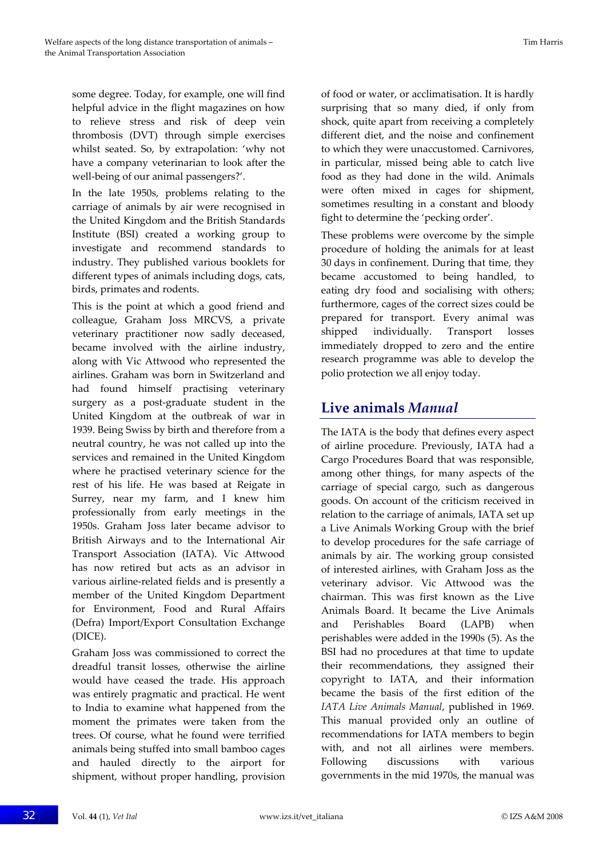some degree. Today, for example, one will find helpful advice in the flight magazines on how to relieve stress and risk of deep vein thrombosis (DVT) through simple exercises whilst seated. So, by extrapolation: 'why not have a company veterinarian to look after the well-being of our animal passengers?'.

In the late 1950s, problems relating to the carriage of animals by air were recognised in the United Kingdom and the British Standards Institute (BSI) created a working group to investigate and recommend standards to industry. They published various booklets for different types of animals including dogs, cats, birds, primates and rodents.

This is the point at which a good friend and colleague, Graham Joss MRCVS, a private veterinary practitioner now sadly deceased, became involved with the airline industry, along with Vic Attwood who represented the airlines. Graham was born in Switzerland and had found himself practising veterinary surgery as a post‐graduate student in the United Kingdom at the outbreak of war in 1939. Being Swiss by birth and therefore from a neutral country, he was not called up into the services and remained in the United Kingdom where he practised veterinary science for the rest of his life. He was based at Reigate in Surrey, near my farm, and I knew him professionally from early meetings in the 1950s. Graham Joss later became advisor to British Airways and to the International Air Transport Association (IATA). Vic Attwood has now retired but acts as an advisor in various airline‐related fields and is presently a member of the United Kingdom Department for Environment, Food and Rural Affairs (Defra) Import/Export Consultation Exchange (DICE).

Graham Joss was commissioned to correct the dreadful transit losses, otherwise the airline would have ceased the trade. His approach was entirely pragmatic and practical. He went to India to examine what happened from the moment the primates were taken from the trees. Of course, what he found were terrified animals being stuffed into small bamboo cages and hauled directly to the airport for shipment, without proper handling, provision of food or water, or acclimatisation. It is hardly surprising that so many died, if only from shock, quite apart from receiving a completely different diet, and the noise and confinement to which they were unaccustomed. Carnivores, in particular, missed being able to catch live food as they had done in the wild. Animals were often mixed in cages for shipment, sometimes resulting in a constant and bloody fight to determine the 'pecking order'.

These problems were overcome by the simple procedure of holding the animals for at least 30 days in confinement. During that time, they became accustomed to being handled, to eating dry food and socialising with others; furthermore, cages of the correct sizes could be prepared for transport. Every animal was shipped individually. Transport losses immediately dropped to zero and the entire research programme was able to develop the polio protection we all enjoy today.

### **Live animals** *Manual*

The IATA is the body that defines every aspect of airline procedure. Previously, IATA had a Cargo Procedures Board that was responsible, among other things, for many aspects of the carriage of special cargo, such as dangerous goods. On account of the criticism received in relation to the carriage of animals, IATA set up a Live Animals Working Group with the brief to develop procedures for the safe carriage of animals by air. The working group consisted of interested airlines, with Graham Joss as the veterinary advisor. Vic Attwood was the chairman. This was first known as the Live Animals Board. It became the Live Animals and Perishables Board (LAPB) when perishables were added in the 1990s (5). As the BSI had no procedures at that time to update their recommendations, they assigned their copyright to IATA, and their information became the basis of the first edition of the *IATA Live Animals Manual*, published in 1969. This manual provided only an outline of recommendations for IATA members to begin with, and not all airlines were members. Following discussions with various governments in the mid 1970s, the manual was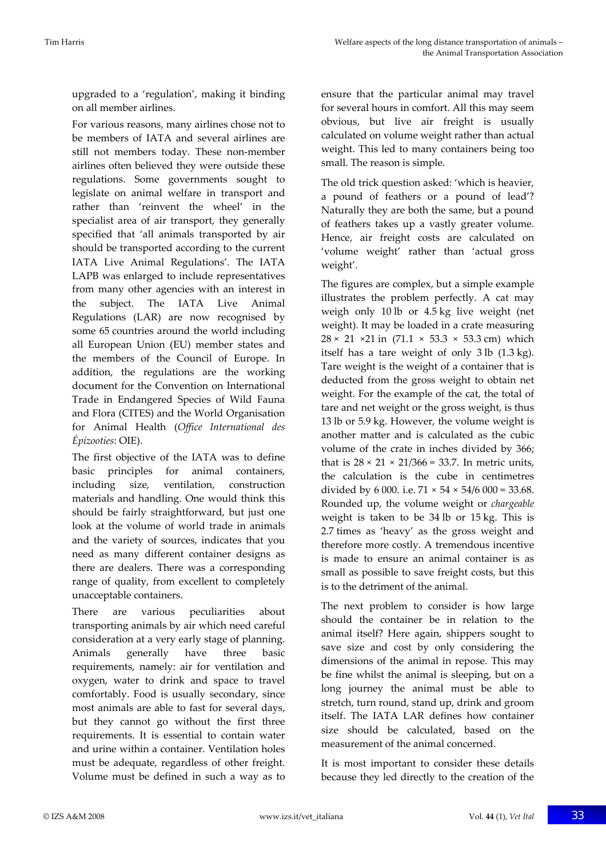upgraded to a 'regulation', making it binding on all member airlines.

For various reasons, many airlines chose not to be members of IATA and several airlines are still not members today. These non-member airlines often believed they were outside these regulations. Some governments sought to legislate on animal welfare in transport and rather than 'reinvent the wheel' in the specialist area of air transport, they generally specified that 'all animals transported by air should be transported according to the current IATA Live Animal Regulations'. The IATA LAPB was enlarged to include representatives from many other agencies with an interest in the subject. The IATA Live Animal Regulations (LAR) are now recognised by some 65 countries around the world including all European Union (EU) member states and the members of the Council of Europe. In addition, the regulations are the working document for the Convention on International Trade in Endangered Species of Wild Fauna and Flora (CITES) and the World Organisation for Animal Health (*Office International des Épizooties*: OIE).

The first objective of the IATA was to define basic principles for animal containers, including size, ventilation, construction materials and handling. One would think this should be fairly straightforward, but just one look at the volume of world trade in animals and the variety of sources, indicates that you need as many different container designs as there are dealers. There was a corresponding range of quality, from excellent to completely unacceptable containers.

There are various peculiarities about transporting animals by air which need careful consideration at a very early stage of planning. Animals generally have three basic requirements, namely: air for ventilation and oxygen, water to drink and space to travel comfortably. Food is usually secondary, since most animals are able to fast for several days, but they cannot go without the first three requirements. It is essential to contain water and urine within a container. Ventilation holes must be adequate, regardless of other freight. Volume must be defined in such a way as to ensure that the particular animal may travel for several hours in comfort. All this may seem obvious, but live air freight is usually calculated on volume weight rather than actual weight. This led to many containers being too small. The reason is simple.

The old trick question asked: 'which is heavier, a pound of feathers or a pound of lead'? Naturally they are both the same, but a pound of feathers takes up a vastly greater volume. Hence, air freight costs are calculated on 'volume weight' rather than 'actual gross weight'.

The figures are complex, but a simple example illustrates the problem perfectly. A cat may weigh only 10 lb or 4.5 kg live weight (net weight). It may be loaded in a crate measuring  $28 \times 21 \times 21$  in (71.1  $\times$  53.3  $\times$  53.3 cm) which itself has a tare weight of only 3 lb (1.3 kg). Tare weight is the weight of a container that is deducted from the gross weight to obtain net weight. For the example of the cat, the total of tare and net weight or the gross weight, is thus 13 lb or 5.9 kg. However, the volume weight is another matter and is calculated as the cubic volume of the crate in inches divided by 366; that is  $28 \times 21 \times 21/366 = 33.7$ . In metric units, the calculation is the cube in centimetres divided by 6 000. i.e.  $71 \times 54 \times 54/6$  000 = 33.68. Rounded up, the volume weight or *chargeable* weight is taken to be 34 lb or 15 kg. This is 2.7 times as 'heavy' as the gross weight and therefore more costly. A tremendous incentive is made to ensure an animal container is as small as possible to save freight costs, but this is to the detriment of the animal.

The next problem to consider is how large should the container be in relation to the animal itself? Here again, shippers sought to save size and cost by only considering the dimensions of the animal in repose. This may be fine whilst the animal is sleeping, but on a long journey the animal must be able to stretch, turn round, stand up, drink and groom itself. The IATA LAR defines how container size should be calculated, based on the measurement of the animal concerned.

It is most important to consider these details because they led directly to the creation of the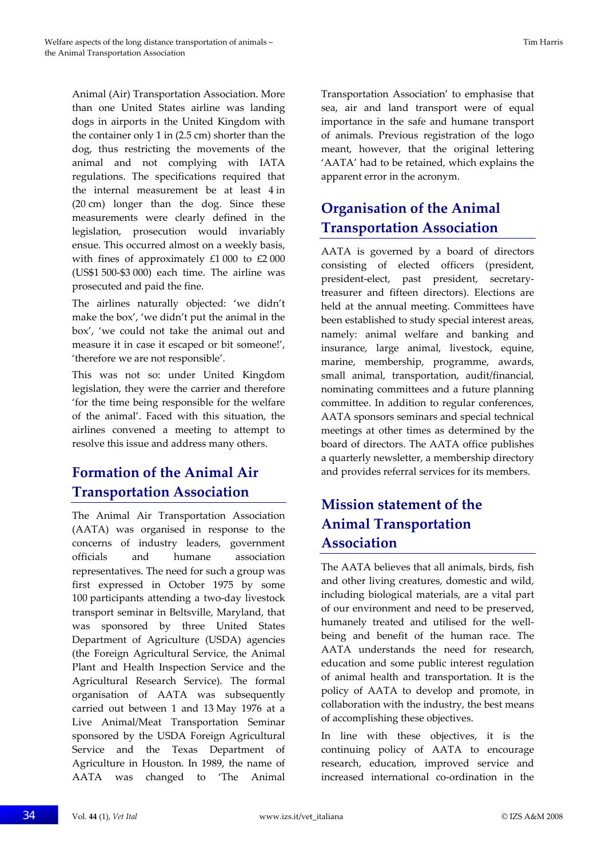Animal (Air) Transportation Association. More than one United States airline was landing dogs in airports in the United Kingdom with the container only 1 in (2.5 cm) shorter than the dog, thus restricting the movements of the animal and not complying with IATA regulations. The specifications required that the internal measurement be at least 4 in (20 cm) longer than the dog. Since these measurements were clearly defined in the legislation, prosecution would invariably ensue. This occurred almost on a weekly basis, with fines of approximately £1 000 to £2 000 (US\$1 500‐\$3 000) each time. The airline was prosecuted and paid the fine.

The airlines naturally objected: 'we didn't make the box', 'we didn't put the animal in the box', 'we could not take the animal out and measure it in case it escaped or bit someone!', 'therefore we are not responsible'.

This was not so: under United Kingdom legislation, they were the carrier and therefore 'for the time being responsible for the welfare of the animal'. Faced with this situation, the airlines convened a meeting to attempt to resolve this issue and address many others.

# **Formation of the Animal Air Transportation Association**

The Animal Air Transportation Association (AATA) was organised in response to the concerns of industry leaders, government officials and humane association representatives. The need for such a group was first expressed in October 1975 by some 100 participants attending a two-day livestock transport seminar in Beltsville, Maryland, that was sponsored by three United States Department of Agriculture (USDA) agencies (the Foreign Agricultural Service, the Animal Plant and Health Inspection Service and the Agricultural Research Service). The formal organisation of AATA was subsequently carried out between 1 and 13 May 1976 at a Live Animal/Meat Transportation Seminar sponsored by the USDA Foreign Agricultural Service and the Texas Department of Agriculture in Houston. In 1989, the name of AATA was changed to 'The Animal

Transportation Association' to emphasise that sea, air and land transport were of equal importance in the safe and humane transport of animals. Previous registration of the logo meant, however, that the original lettering 'AATA' had to be retained, which explains the apparent error in the acronym.

# **Organisation of the Animal Transportation Association**

AATA is governed by a board of directors consisting of elected officers (president, president‐elect, past president, secretary‐ treasurer and fifteen directors). Elections are held at the annual meeting. Committees have been established to study special interest areas, namely: animal welfare and banking and insurance, large animal, livestock, equine, marine, membership, programme, awards, small animal, transportation, audit/financial, nominating committees and a future planning committee. In addition to regular conferences, AATA sponsors seminars and special technical meetings at other times as determined by the board of directors. The AATA office publishes a quarterly newsletter, a membership directory and provides referral services for its members.

# **Mission statement of the Animal Transportation Association**

The AATA believes that all animals, birds, fish and other living creatures, domestic and wild, including biological materials, are a vital part of our environment and need to be preserved, humanely treated and utilised for the wellbeing and benefit of the human race. The AATA understands the need for research, education and some public interest regulation of animal health and transportation. It is the policy of AATA to develop and promote, in collaboration with the industry, the best means of accomplishing these objectives.

In line with these objectives, it is the continuing policy of AATA to encourage research, education, improved service and increased international co-ordination in the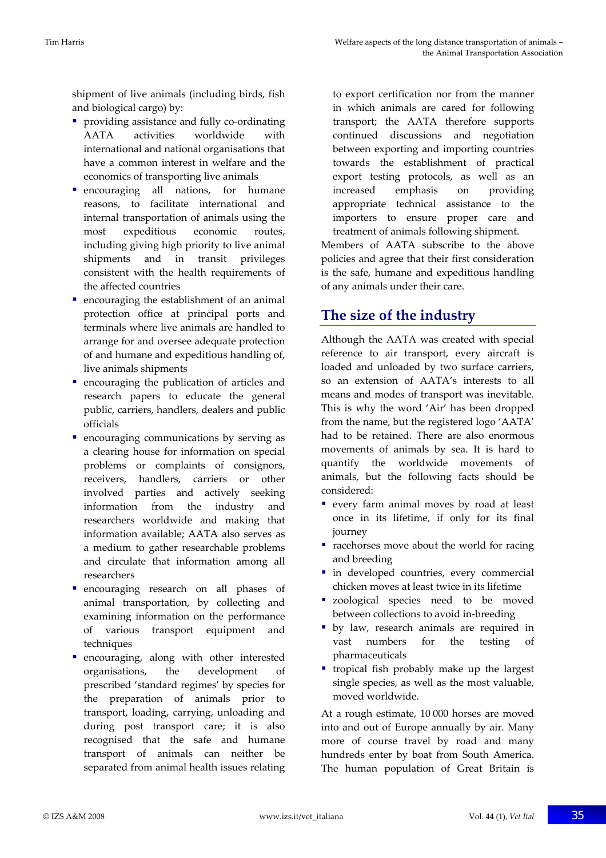shipment of live animals (including birds, fish and biological cargo) by:

- providing assistance and fully co-ordinating AATA activities worldwide with international and national organisations that have a common interest in welfare and the economics of transporting live animals
- **encouraging all nations, for humane** reasons, to facilitate international and internal transportation of animals using the most expeditious economic routes, including giving high priority to live animal shipments and in transit privileges consistent with the health requirements of the affected countries
- $\blacksquare$  encouraging the establishment of an animal protection office at principal ports and terminals where live animals are handled to arrange for and oversee adequate protection of and humane and expeditious handling of, live animals shipments
- encouraging the publication of articles and research papers to educate the general public, carriers, handlers, dealers and public officials
- encouraging communications by serving as a clearing house for information on special problems or complaints of consignors, receivers, handlers, carriers or other involved parties and actively seeking information from the industry and researchers worldwide and making that information available; AATA also serves as a medium to gather researchable problems and circulate that information among all researchers
- **encouraging** research on all phases of animal transportation, by collecting and examining information on the performance of various transport equipment and techniques
- encouraging, along with other interested organisations, the development of prescribed 'standard regimes' by species for the preparation of animals prior to transport, loading, carrying, unloading and during post transport care; it is also recognised that the safe and humane transport of animals can neither be separated from animal health issues relating

to export certification nor from the manner in which animals are cared for following transport; the AATA therefore supports continued discussions and negotiation between exporting and importing countries towards the establishment of practical export testing protocols, as well as an increased emphasis on providing appropriate technical assistance to the importers to ensure proper care and treatment of animals following shipment.

Members of AATA subscribe to the above policies and agree that their first consideration is the safe, humane and expeditious handling of any animals under their care.

# **The size of the industry**

Although the AATA was created with special reference to air transport, every aircraft is loaded and unloaded by two surface carriers, so an extension of AATA's interests to all means and modes of transport was inevitable. This is why the word 'Air' has been dropped from the name, but the registered logo 'AATA' had to be retained. There are also enormous movements of animals by sea. It is hard to quantify the worldwide movements of animals, but the following facts should be considered:

- every farm animal moves by road at least once in its lifetime, if only for its final journey
- **racehorses move about the world for racing** and breeding
- $\blacksquare$  in developed countries, every commercial chicken moves at least twice in its lifetime
- **zoological species need to be moved** between collections to avoid in‐breeding
- by law, research animals are required in vast numbers for the testing of pharmaceuticals
- tropical fish probably make up the largest single species, as well as the most valuable, moved worldwide.

At a rough estimate, 10 000 horses are moved into and out of Europe annually by air. Many more of course travel by road and many hundreds enter by boat from South America. The human population of Great Britain is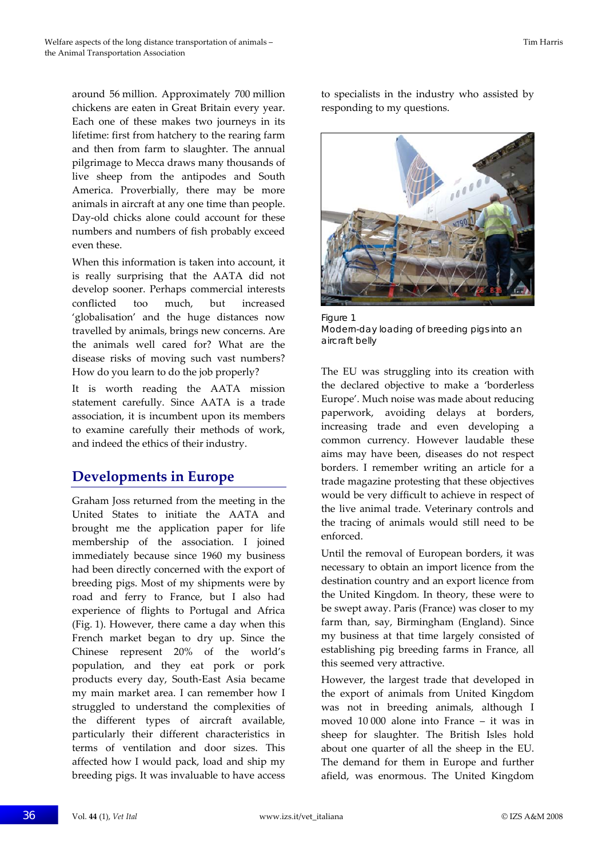around 56 million. Approximately 700 million chickens are eaten in Great Britain every year. Each one of these makes two journeys in its lifetime: first from hatchery to the rearing farm and then from farm to slaughter. The annual pilgrimage to Mecca draws many thousands of live sheep from the antipodes and South America. Proverbially, there may be more animals in aircraft at any one time than people. Day‐old chicks alone could account for these numbers and numbers of fish probably exceed even these.

When this information is taken into account, it is really surprising that the AATA did not develop sooner. Perhaps commercial interests conflicted too much, but increased 'globalisation' and the huge distances now travelled by animals, brings new concerns. Are the animals well cared for? What are the disease risks of moving such vast numbers? How do you learn to do the job properly?

It is worth reading the AATA mission statement carefully. Since AATA is a trade association, it is incumbent upon its members to examine carefully their methods of work, and indeed the ethics of their industry.

### **Developments in Europe**

Graham Joss returned from the meeting in the United States to initiate the AATA and brought me the application paper for life membership of the association. I joined immediately because since 1960 my business had been directly concerned with the export of breeding pigs. Most of my shipments were by road and ferry to France, but I also had experience of flights to Portugal and Africa (Fig. 1). However, there came a day when this French market began to dry up. Since the Chinese represent 20% of the world's population, and they eat pork or pork products every day, South‐East Asia became my main market area. I can remember how I struggled to understand the complexities of the different types of aircraft available, particularly their different characteristics in terms of ventilation and door sizes. This affected how I would pack, load and ship my breeding pigs. It was invaluable to have access

to specialists in the industry who assisted by responding to my questions.



Figure 1 Modern-day loading of breeding pigs into an aircraft belly

The EU was struggling into its creation with the declared objective to make a 'borderless Europe'. Much noise was made about reducing paperwork, avoiding delays at borders, increasing trade and even developing a common currency. However laudable these aims may have been, diseases do not respect borders. I remember writing an article for a trade magazine protesting that these objectives would be very difficult to achieve in respect of the live animal trade. Veterinary controls and the tracing of animals would still need to be enforced.

Until the removal of European borders, it was necessary to obtain an import licence from the destination country and an export licence from the United Kingdom. In theory, these were to be swept away. Paris (France) was closer to my farm than, say, Birmingham (England). Since my business at that time largely consisted of establishing pig breeding farms in France, all this seemed very attractive.

However, the largest trade that developed in the export of animals from United Kingdom was not in breeding animals, although I moved 10 000 alone into France – it was in sheep for slaughter. The British Isles hold about one quarter of all the sheep in the EU. The demand for them in Europe and further afield, was enormous. The United Kingdom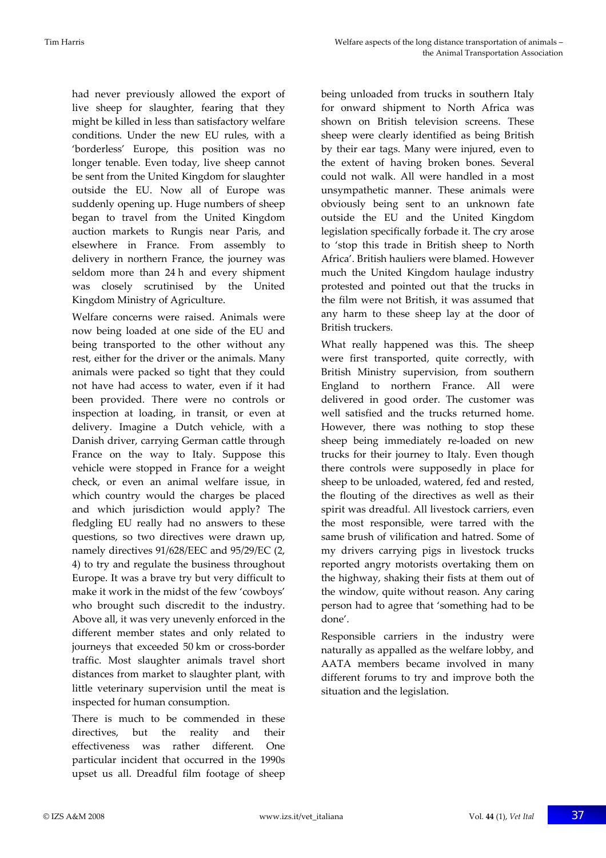had never previously allowed the export of live sheep for slaughter, fearing that they might be killed in less than satisfactory welfare conditions. Under the new EU rules, with a 'borderless' Europe, this position was no longer tenable. Even today, live sheep cannot be sent from the United Kingdom for slaughter outside the EU. Now all of Europe was suddenly opening up. Huge numbers of sheep began to travel from the United Kingdom auction markets to Rungis near Paris, and elsewhere in France. From assembly to delivery in northern France, the journey was seldom more than 24 h and every shipment was closely scrutinised by the United Kingdom Ministry of Agriculture.

Welfare concerns were raised. Animals were now being loaded at one side of the EU and being transported to the other without any rest, either for the driver or the animals. Many animals were packed so tight that they could not have had access to water, even if it had been provided. There were no controls or inspection at loading, in transit, or even at delivery. Imagine a Dutch vehicle, with a Danish driver, carrying German cattle through France on the way to Italy. Suppose this vehicle were stopped in France for a weight check, or even an animal welfare issue, in which country would the charges be placed and which jurisdiction would apply? The fledgling EU really had no answers to these questions, so two directives were drawn up, namely directives 91/628/EEC and 95/29/EC (2, 4) to try and regulate the business throughout Europe. It was a brave try but very difficult to make it work in the midst of the few 'cowboys' who brought such discredit to the industry. Above all, it was very unevenly enforced in the different member states and only related to journeys that exceeded 50 km or cross‐border traffic. Most slaughter animals travel short distances from market to slaughter plant, with little veterinary supervision until the meat is inspected for human consumption.

There is much to be commended in these directives, but the reality and their effectiveness was rather different. One particular incident that occurred in the 1990s upset us all. Dreadful film footage of sheep being unloaded from trucks in southern Italy for onward shipment to North Africa was shown on British television screens. These sheep were clearly identified as being British by their ear tags. Many were injured, even to the extent of having broken bones. Several could not walk. All were handled in a most unsympathetic manner. These animals were obviously being sent to an unknown fate outside the EU and the United Kingdom legislation specifically forbade it. The cry arose to 'stop this trade in British sheep to North Africa'. British hauliers were blamed. However much the United Kingdom haulage industry protested and pointed out that the trucks in the film were not British, it was assumed that any harm to these sheep lay at the door of British truckers.

What really happened was this. The sheep were first transported, quite correctly, with British Ministry supervision, from southern England to northern France. All were delivered in good order. The customer was well satisfied and the trucks returned home. However, there was nothing to stop these sheep being immediately re-loaded on new trucks for their journey to Italy. Even though there controls were supposedly in place for sheep to be unloaded, watered, fed and rested, the flouting of the directives as well as their spirit was dreadful. All livestock carriers, even the most responsible, were tarred with the same brush of vilification and hatred. Some of my drivers carrying pigs in livestock trucks reported angry motorists overtaking them on the highway, shaking their fists at them out of the window, quite without reason. Any caring person had to agree that 'something had to be done'.

Responsible carriers in the industry were naturally as appalled as the welfare lobby, and AATA members became involved in many different forums to try and improve both the situation and the legislation.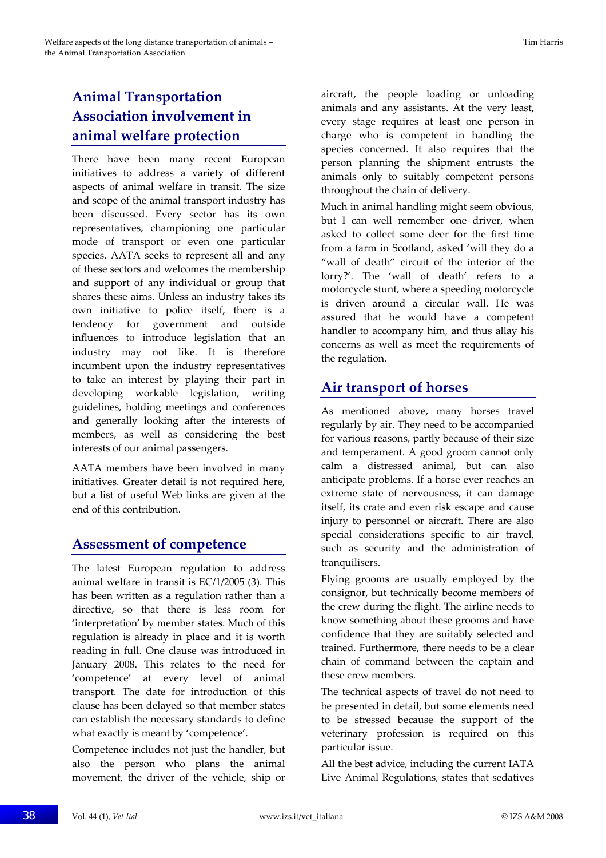# **Animal Transportation Association involvement in animal welfare protection**

There have been many recent European initiatives to address a variety of different aspects of animal welfare in transit. The size and scope of the animal transport industry has been discussed. Every sector has its own representatives, championing one particular mode of transport or even one particular species. AATA seeks to represent all and any of these sectors and welcomes the membership and support of any individual or group that shares these aims. Unless an industry takes its own initiative to police itself, there is a tendency for government and outside influences to introduce legislation that an industry may not like. It is therefore incumbent upon the industry representatives to take an interest by playing their part in developing workable legislation, writing guidelines, holding meetings and conferences and generally looking after the interests of members, as well as considering the best interests of our animal passengers.

AATA members have been involved in many initiatives. Greater detail is not required here, but a list of useful Web links are given at the end of this contribution.

### **Assessment of competence**

The latest European regulation to address animal welfare in transit is EC/1/2005 (3). This has been written as a regulation rather than a directive, so that there is less room for 'interpretation' by member states. Much of this regulation is already in place and it is worth reading in full. One clause was introduced in January 2008. This relates to the need for 'competence' at every level of animal transport. The date for introduction of this clause has been delayed so that member states can establish the necessary standards to define what exactly is meant by 'competence'.

Competence includes not just the handler, but also the person who plans the animal movement, the driver of the vehicle, ship or aircraft, the people loading or unloading animals and any assistants. At the very least, every stage requires at least one person in charge who is competent in handling the species concerned. It also requires that the person planning the shipment entrusts the animals only to suitably competent persons throughout the chain of delivery.

Much in animal handling might seem obvious, but I can well remember one driver, when asked to collect some deer for the first time from a farm in Scotland, asked 'will they do a "wall of death" circuit of the interior of the lorry?'. The 'wall of death' refers to a motorcycle stunt, where a speeding motorcycle is driven around a circular wall. He was assured that he would have a competent handler to accompany him, and thus allay his concerns as well as meet the requirements of the regulation.

### **Air transport of horses**

As mentioned above, many horses travel regularly by air. They need to be accompanied for various reasons, partly because of their size and temperament. A good groom cannot only calm a distressed animal, but can also anticipate problems. If a horse ever reaches an extreme state of nervousness, it can damage itself, its crate and even risk escape and cause injury to personnel or aircraft. There are also special considerations specific to air travel, such as security and the administration of tranquilisers.

Flying grooms are usually employed by the consignor, but technically become members of the crew during the flight. The airline needs to know something about these grooms and have confidence that they are suitably selected and trained. Furthermore, there needs to be a clear chain of command between the captain and these crew members.

The technical aspects of travel do not need to be presented in detail, but some elements need to be stressed because the support of the veterinary profession is required on this particular issue.

All the best advice, including the current IATA Live Animal Regulations, states that sedatives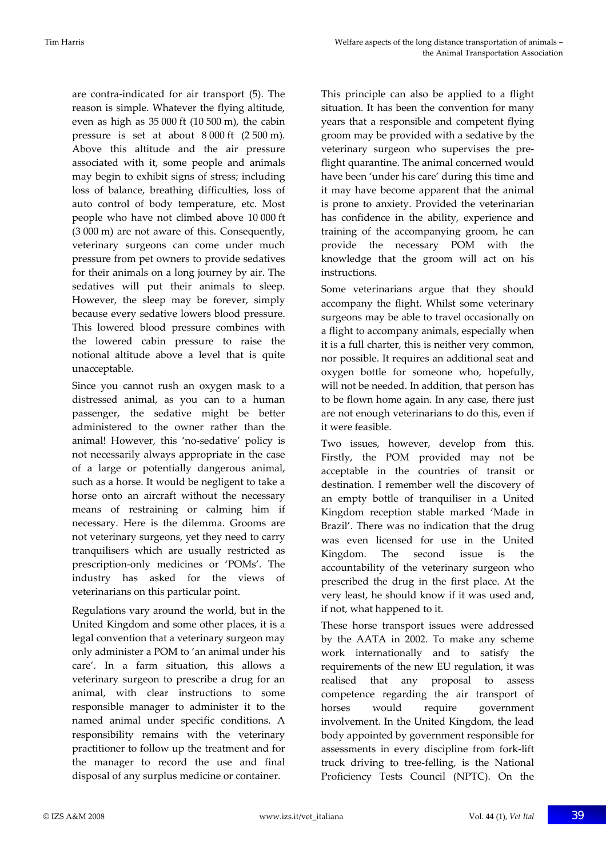are contra‐indicated for air transport (5). The reason is simple. Whatever the flying altitude, even as high as 35 000 ft (10 500 m), the cabin pressure is set at about 8 000 ft (2 500 m). Above this altitude and the air pressure associated with it, some people and animals may begin to exhibit signs of stress; including loss of balance, breathing difficulties, loss of auto control of body temperature, etc. Most people who have not climbed above 10 000 ft (3 000 m) are not aware of this. Consequently, veterinary surgeons can come under much pressure from pet owners to provide sedatives for their animals on a long journey by air. The sedatives will put their animals to sleep. However, the sleep may be forever, simply because every sedative lowers blood pressure. This lowered blood pressure combines with the lowered cabin pressure to raise the notional altitude above a level that is quite unacceptable.

Since you cannot rush an oxygen mask to a distressed animal, as you can to a human passenger, the sedative might be better administered to the owner rather than the animal! However, this 'no‐sedative' policy is not necessarily always appropriate in the case of a large or potentially dangerous animal, such as a horse. It would be negligent to take a horse onto an aircraft without the necessary means of restraining or calming him if necessary. Here is the dilemma. Grooms are not veterinary surgeons, yet they need to carry tranquilisers which are usually restricted as prescription‐only medicines or 'POMs'. The industry has asked for the views of veterinarians on this particular point.

Regulations vary around the world, but in the United Kingdom and some other places, it is a legal convention that a veterinary surgeon may only administer a POM to 'an animal under his care'. In a farm situation, this allows a veterinary surgeon to prescribe a drug for an animal, with clear instructions to some responsible manager to administer it to the named animal under specific conditions. A responsibility remains with the veterinary practitioner to follow up the treatment and for the manager to record the use and final disposal of any surplus medicine or container.

This principle can also be applied to a flight situation. It has been the convention for many years that a responsible and competent flying groom may be provided with a sedative by the veterinary surgeon who supervises the pre‐ flight quarantine. The animal concerned would have been 'under his care' during this time and it may have become apparent that the animal is prone to anxiety. Provided the veterinarian has confidence in the ability, experience and training of the accompanying groom, he can provide the necessary POM with the knowledge that the groom will act on his instructions.

Some veterinarians argue that they should accompany the flight. Whilst some veterinary surgeons may be able to travel occasionally on a flight to accompany animals, especially when it is a full charter, this is neither very common, nor possible. It requires an additional seat and oxygen bottle for someone who, hopefully, will not be needed. In addition, that person has to be flown home again. In any case, there just are not enough veterinarians to do this, even if it were feasible.

Two issues, however, develop from this. Firstly, the POM provided may not be acceptable in the countries of transit or destination. I remember well the discovery of an empty bottle of tranquiliser in a United Kingdom reception stable marked 'Made in Brazil'. There was no indication that the drug was even licensed for use in the United Kingdom. The second issue is the accountability of the veterinary surgeon who prescribed the drug in the first place. At the very least, he should know if it was used and, if not, what happened to it.

These horse transport issues were addressed by the AATA in 2002. To make any scheme work internationally and to satisfy the requirements of the new EU regulation, it was realised that any proposal to assess competence regarding the air transport of horses would require government involvement. In the United Kingdom, the lead body appointed by government responsible for assessments in every discipline from fork‐lift truck driving to tree‐felling, is the National Proficiency Tests Council (NPTC). On the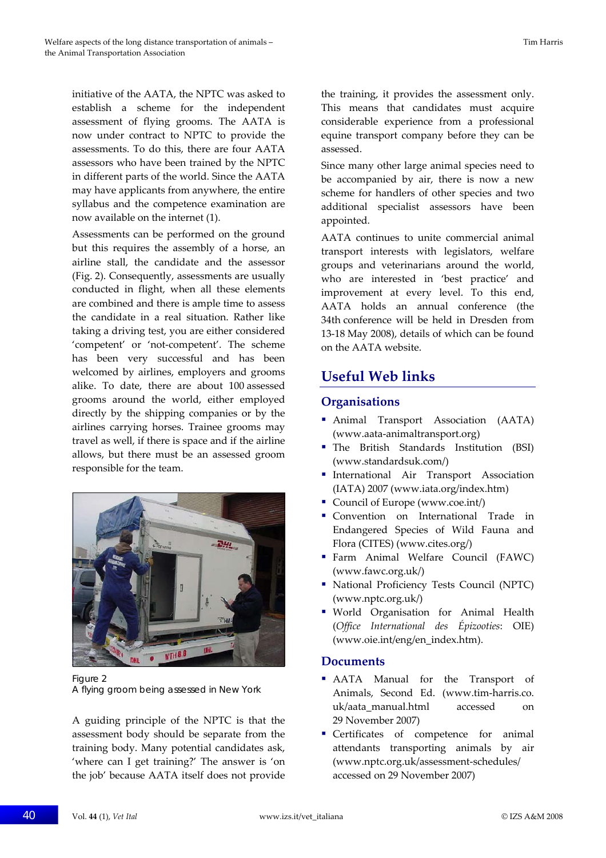initiative of the AATA, the NPTC was asked to establish a scheme for the independent assessment of flying grooms. The AATA is now under contract to NPTC to provide the assessments. To do this, there are four AATA assessors who have been trained by the NPTC in different parts of the world. Since the AATA may have applicants from anywhere, the entire syllabus and the competence examination are now available on the internet (1).

Assessments can be performed on the ground but this requires the assembly of a horse, an airline stall, the candidate and the assessor (Fig. 2). Consequently, assessments are usually conducted in flight, when all these elements are combined and there is ample time to assess the candidate in a real situation. Rather like taking a driving test, you are either considered 'competent' or 'not‐competent'. The scheme has been very successful and has been welcomed by airlines, employers and grooms alike. To date, there are about 100 assessed grooms around the world, either employed directly by the shipping companies or by the airlines carrying horses. Trainee grooms may travel as well, if there is space and if the airline allows, but there must be an assessed groom responsible for the team.



Figure 2 A flying groom being assessed in New York

A guiding principle of the NPTC is that the assessment body should be separate from the training body. Many potential candidates ask, 'where can I get training?' The answer is 'on the job' because AATA itself does not provide the training, it provides the assessment only. This means that candidates must acquire considerable experience from a professional equine transport company before they can be assessed.

Since many other large animal species need to be accompanied by air, there is now a new scheme for handlers of other species and two additional specialist assessors have been appointed.

AATA continues to unite commercial animal transport interests with legislators, welfare groups and veterinarians around the world, who are interested in 'best practice' and improvement at every level. To this end, AATA holds an annual conference (the 34th conference will be held in Dresden from 13‐18 May 2008), details of which can be found on the AATA website.

## **Useful Web links**

### **Organisations**

- Animal Transport Association (AATA) (www.aata‐animaltransport.org)
- The British Standards Institution (BSI) (www.standardsuk.com/)
- International Air Transport Association (IATA) 2007 (www.iata.org/index.htm)
- Council of Europe (www.coe.int/)
- Convention on International Trade in Endangered Species of Wild Fauna and Flora (CITES) (www.cites.org/)
- Farm Animal Welfare Council (FAWC) (www.fawc.org.uk/)
- National Proficiency Tests Council (NPTC) (www.nptc.org.uk/)
- World Organisation for Animal Health (*Office International des Épizooties*: OIE) (www.oie.int/eng/en\_index.htm).

### **Documents**

- AATA Manual for the Transport of Animals, Second Ed. (www.tim‐harris.co. uk/aata\_manual.html accessed on 29 November 2007)
- Certificates of competence for animal attendants transporting animals by air (www.nptc.org.uk/assessment‐schedules/ accessed on 29 November 2007)